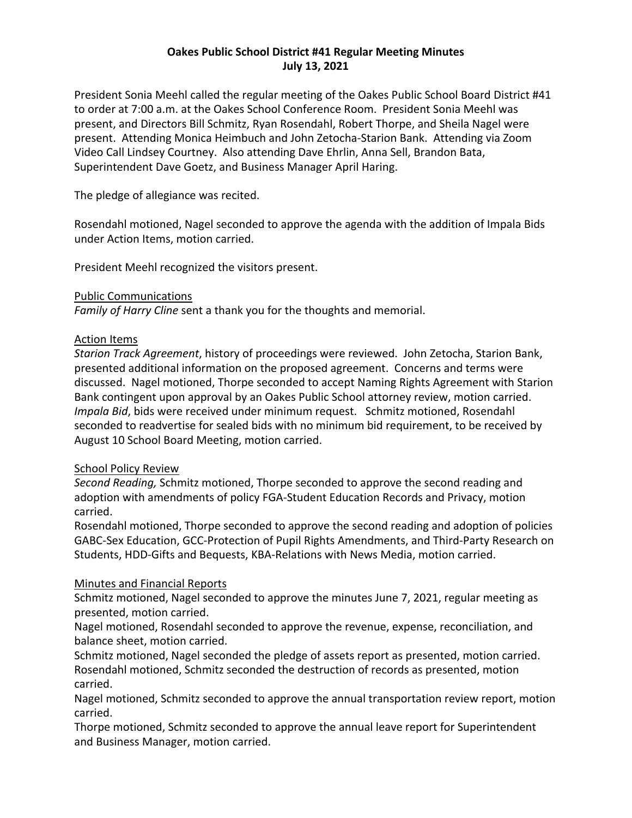# **Oakes Public School District #41 Regular Meeting Minutes July 13, 2021**

President Sonia Meehl called the regular meeting of the Oakes Public School Board District #41 to order at 7:00 a.m. at the Oakes School Conference Room. President Sonia Meehl was present, and Directors Bill Schmitz, Ryan Rosendahl, Robert Thorpe, and Sheila Nagel were present. Attending Monica Heimbuch and John Zetocha-Starion Bank. Attending via Zoom Video Call Lindsey Courtney. Also attending Dave Ehrlin, Anna Sell, Brandon Bata, Superintendent Dave Goetz, and Business Manager April Haring.

The pledge of allegiance was recited.

Rosendahl motioned, Nagel seconded to approve the agenda with the addition of Impala Bids under Action Items, motion carried.

President Meehl recognized the visitors present.

## Public Communications

*Family of Harry Cline* sent a thank you for the thoughts and memorial.

## Action Items

*Starion Track Agreement*, history of proceedings were reviewed. John Zetocha, Starion Bank, presented additional information on the proposed agreement. Concerns and terms were discussed. Nagel motioned, Thorpe seconded to accept Naming Rights Agreement with Starion Bank contingent upon approval by an Oakes Public School attorney review, motion carried. *Impala Bid*, bids were received under minimum request. Schmitz motioned, Rosendahl seconded to readvertise for sealed bids with no minimum bid requirement, to be received by August 10 School Board Meeting, motion carried.

## School Policy Review

*Second Reading,* Schmitz motioned, Thorpe seconded to approve the second reading and adoption with amendments of policy FGA-Student Education Records and Privacy, motion carried.

Rosendahl motioned, Thorpe seconded to approve the second reading and adoption of policies GABC-Sex Education, GCC-Protection of Pupil Rights Amendments, and Third-Party Research on Students, HDD-Gifts and Bequests, KBA-Relations with News Media, motion carried.

## Minutes and Financial Reports

Schmitz motioned, Nagel seconded to approve the minutes June 7, 2021, regular meeting as presented, motion carried.

Nagel motioned, Rosendahl seconded to approve the revenue, expense, reconciliation, and balance sheet, motion carried.

Schmitz motioned, Nagel seconded the pledge of assets report as presented, motion carried. Rosendahl motioned, Schmitz seconded the destruction of records as presented, motion carried.

Nagel motioned, Schmitz seconded to approve the annual transportation review report, motion carried.

Thorpe motioned, Schmitz seconded to approve the annual leave report for Superintendent and Business Manager, motion carried.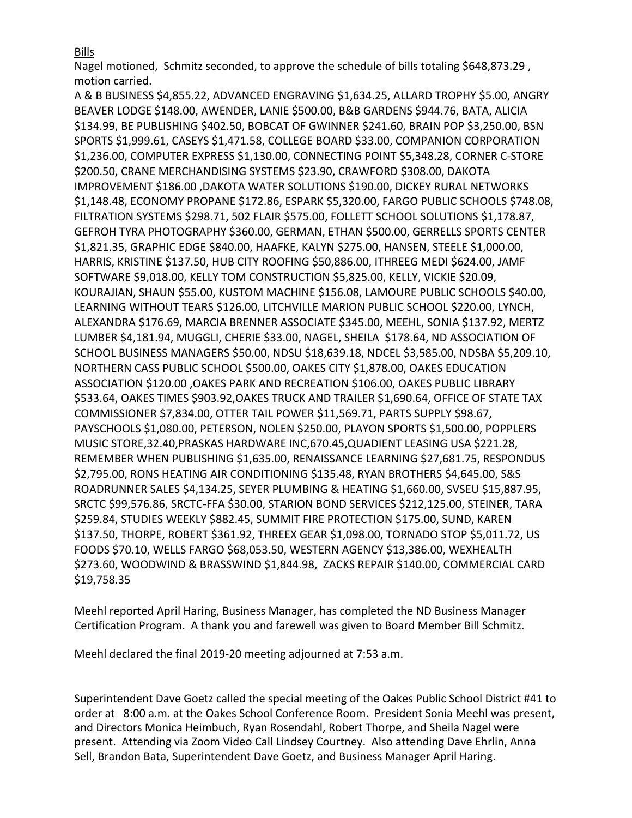Bills

Nagel motioned, Schmitz seconded, to approve the schedule of bills totaling \$648,873.29 , motion carried.

A & B BUSINESS \$4,855.22, ADVANCED ENGRAVING \$1,634.25, ALLARD TROPHY \$5.00, ANGRY BEAVER LODGE \$148.00, AWENDER, LANIE \$500.00, B&B GARDENS \$944.76, BATA, ALICIA \$134.99, BE PUBLISHING \$402.50, BOBCAT OF GWINNER \$241.60, BRAIN POP \$3,250.00, BSN SPORTS \$1,999.61, CASEYS \$1,471.58, COLLEGE BOARD \$33.00, COMPANION CORPORATION \$1,236.00, COMPUTER EXPRESS \$1,130.00, CONNECTING POINT \$5,348.28, CORNER C-STORE \$200.50, CRANE MERCHANDISING SYSTEMS \$23.90, CRAWFORD \$308.00, DAKOTA IMPROVEMENT \$186.00 ,DAKOTA WATER SOLUTIONS \$190.00, DICKEY RURAL NETWORKS \$1,148.48, ECONOMY PROPANE \$172.86, ESPARK \$5,320.00, FARGO PUBLIC SCHOOLS \$748.08, FILTRATION SYSTEMS \$298.71, 502 FLAIR \$575.00, FOLLETT SCHOOL SOLUTIONS \$1,178.87, GEFROH TYRA PHOTOGRAPHY \$360.00, GERMAN, ETHAN \$500.00, GERRELLS SPORTS CENTER \$1,821.35, GRAPHIC EDGE \$840.00, HAAFKE, KALYN \$275.00, HANSEN, STEELE \$1,000.00, HARRIS, KRISTINE \$137.50, HUB CITY ROOFING \$50,886.00, ITHREEG MEDI \$624.00, JAMF SOFTWARE \$9,018.00, KELLY TOM CONSTRUCTION \$5,825.00, KELLY, VICKIE \$20.09, KOURAJIAN, SHAUN \$55.00, KUSTOM MACHINE \$156.08, LAMOURE PUBLIC SCHOOLS \$40.00, LEARNING WITHOUT TEARS \$126.00, LITCHVILLE MARION PUBLIC SCHOOL \$220.00, LYNCH, ALEXANDRA \$176.69, MARCIA BRENNER ASSOCIATE \$345.00, MEEHL, SONIA \$137.92, MERTZ LUMBER \$4,181.94, MUGGLI, CHERIE \$33.00, NAGEL, SHEILA \$178.64, ND ASSOCIATION OF SCHOOL BUSINESS MANAGERS \$50.00, NDSU \$18,639.18, NDCEL \$3,585.00, NDSBA \$5,209.10, NORTHERN CASS PUBLIC SCHOOL \$500.00, OAKES CITY \$1,878.00, OAKES EDUCATION ASSOCIATION \$120.00 ,OAKES PARK AND RECREATION \$106.00, OAKES PUBLIC LIBRARY \$533.64, OAKES TIMES \$903.92,OAKES TRUCK AND TRAILER \$1,690.64, OFFICE OF STATE TAX COMMISSIONER \$7,834.00, OTTER TAIL POWER \$11,569.71, PARTS SUPPLY \$98.67, PAYSCHOOLS \$1,080.00, PETERSON, NOLEN \$250.00, PLAYON SPORTS \$1,500.00, POPPLERS MUSIC STORE,32.40,PRASKAS HARDWARE INC,670.45,QUADIENT LEASING USA \$221.28, REMEMBER WHEN PUBLISHING \$1,635.00, RENAISSANCE LEARNING \$27,681.75, RESPONDUS \$2,795.00, RONS HEATING AIR CONDITIONING \$135.48, RYAN BROTHERS \$4,645.00, S&S ROADRUNNER SALES \$4,134.25, SEYER PLUMBING & HEATING \$1,660.00, SVSEU \$15,887.95, SRCTC \$99,576.86, SRCTC-FFA \$30.00, STARION BOND SERVICES \$212,125.00, STEINER, TARA \$259.84, STUDIES WEEKLY \$882.45, SUMMIT FIRE PROTECTION \$175.00, SUND, KAREN \$137.50, THORPE, ROBERT \$361.92, THREEX GEAR \$1,098.00, TORNADO STOP \$5,011.72, US FOODS \$70.10, WELLS FARGO \$68,053.50, WESTERN AGENCY \$13,386.00, WEXHEALTH \$273.60, WOODWIND & BRASSWIND \$1,844.98, ZACKS REPAIR \$140.00, COMMERCIAL CARD \$19,758.35

Meehl reported April Haring, Business Manager, has completed the ND Business Manager Certification Program. A thank you and farewell was given to Board Member Bill Schmitz.

Meehl declared the final 2019-20 meeting adjourned at 7:53 a.m.

Superintendent Dave Goetz called the special meeting of the Oakes Public School District #41 to order at 8:00 a.m. at the Oakes School Conference Room. President Sonia Meehl was present, and Directors Monica Heimbuch, Ryan Rosendahl, Robert Thorpe, and Sheila Nagel were present. Attending via Zoom Video Call Lindsey Courtney. Also attending Dave Ehrlin, Anna Sell, Brandon Bata, Superintendent Dave Goetz, and Business Manager April Haring.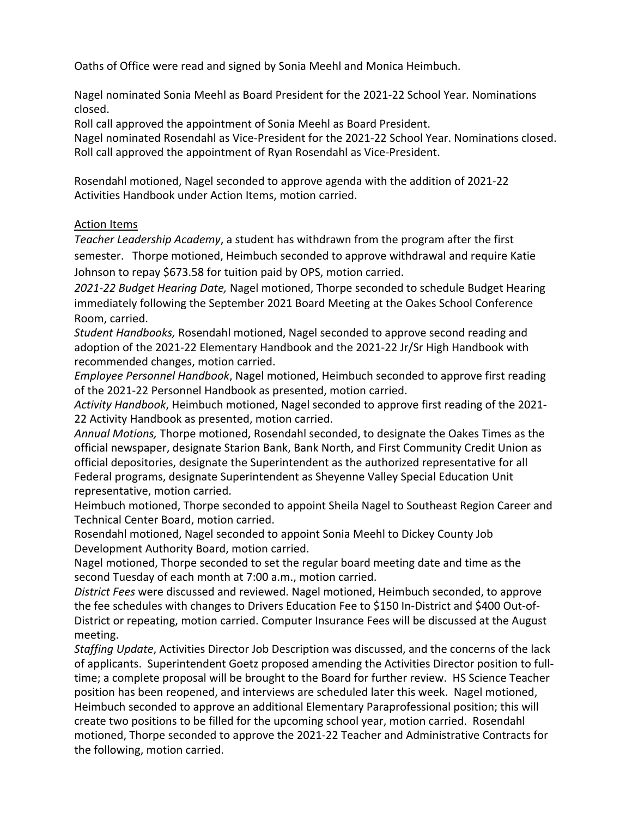Oaths of Office were read and signed by Sonia Meehl and Monica Heimbuch.

Nagel nominated Sonia Meehl as Board President for the 2021-22 School Year. Nominations closed.

Roll call approved the appointment of Sonia Meehl as Board President.

Nagel nominated Rosendahl as Vice-President for the 2021-22 School Year. Nominations closed. Roll call approved the appointment of Ryan Rosendahl as Vice-President.

Rosendahl motioned, Nagel seconded to approve agenda with the addition of 2021-22 Activities Handbook under Action Items, motion carried.

## Action Items

*Teacher Leadership Academy*, a student has withdrawn from the program after the first semester. Thorpe motioned, Heimbuch seconded to approve withdrawal and require Katie Johnson to repay \$673.58 for tuition paid by OPS, motion carried.

*2021-22 Budget Hearing Date,* Nagel motioned, Thorpe seconded to schedule Budget Hearing immediately following the September 2021 Board Meeting at the Oakes School Conference Room, carried.

*Student Handbooks,* Rosendahl motioned, Nagel seconded to approve second reading and adoption of the 2021-22 Elementary Handbook and the 2021-22 Jr/Sr High Handbook with recommended changes, motion carried.

*Employee Personnel Handbook*, Nagel motioned, Heimbuch seconded to approve first reading of the 2021-22 Personnel Handbook as presented, motion carried.

*Activity Handbook*, Heimbuch motioned, Nagel seconded to approve first reading of the 2021- 22 Activity Handbook as presented, motion carried.

*Annual Motions,* Thorpe motioned, Rosendahl seconded, to designate the Oakes Times as the official newspaper, designate Starion Bank, Bank North, and First Community Credit Union as official depositories, designate the Superintendent as the authorized representative for all Federal programs, designate Superintendent as Sheyenne Valley Special Education Unit representative, motion carried.

Heimbuch motioned, Thorpe seconded to appoint Sheila Nagel to Southeast Region Career and Technical Center Board, motion carried.

Rosendahl motioned, Nagel seconded to appoint Sonia Meehl to Dickey County Job Development Authority Board, motion carried.

Nagel motioned, Thorpe seconded to set the regular board meeting date and time as the second Tuesday of each month at 7:00 a.m., motion carried.

*District Fees* were discussed and reviewed. Nagel motioned, Heimbuch seconded, to approve the fee schedules with changes to Drivers Education Fee to \$150 In-District and \$400 Out-of-District or repeating, motion carried. Computer Insurance Fees will be discussed at the August meeting.

*Staffing Update*, Activities Director Job Description was discussed, and the concerns of the lack of applicants. Superintendent Goetz proposed amending the Activities Director position to fulltime; a complete proposal will be brought to the Board for further review. HS Science Teacher position has been reopened, and interviews are scheduled later this week. Nagel motioned, Heimbuch seconded to approve an additional Elementary Paraprofessional position; this will create two positions to be filled for the upcoming school year, motion carried. Rosendahl motioned, Thorpe seconded to approve the 2021-22 Teacher and Administrative Contracts for the following, motion carried.